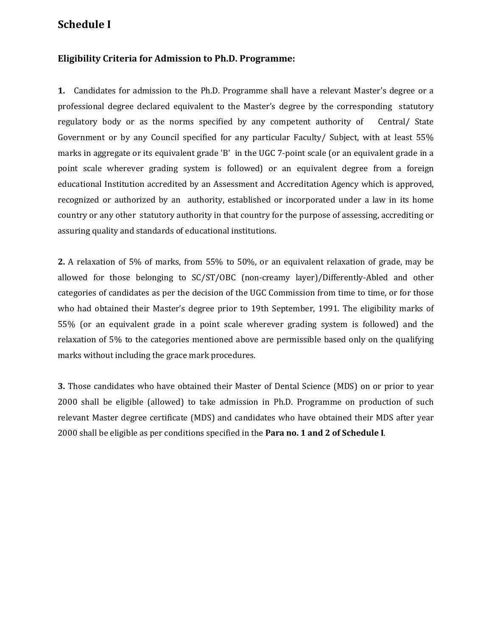## **Schedule I**

## **Eligibility Criteria for Admission to Ph.D. Programme:**

**1.** Candidates for admission to the Ph.D. Programme shall have a relevant Master's degree or a professional degree declared equivalent to the Master's degree by the corresponding statutory regulatory body or as the norms specified by any competent authority of Central/ State Government or by any Council specified for any particular Faculty/ Subject, with at least 55% marks in aggregate or its equivalent grade 'B' in the UGC 7-point scale (or an equivalent grade in a point scale wherever grading system is followed) or an equivalent degree from a foreign educational Institution accredited by an Assessment and Accreditation Agency which is approved, recognized or authorized by an authority, established or incorporated under a law in its home country or any other statutory authority in that country for the purpose of assessing, accrediting or assuring quality and standards of educational institutions.

**2.** A relaxation of 5% of marks, from 55% to 50%, or an equivalent relaxation of grade, may be allowed for those belonging to SC/ST/OBC (non-creamy layer)/Differently-Abled and other categories of candidates as per the decision of the UGC Commission from time to time, or for those who had obtained their Master's degree prior to 19th September, 1991. The eligibility marks of 55% (or an equivalent grade in a point scale wherever grading system is followed) and the relaxation of 5% to the categories mentioned above are permissible based only on the qualifying marks without including the grace mark procedures.

**3.** Those candidates who have obtained their Master of Dental Science (MDS) on or prior to year 2000 shall be eligible (allowed) to take admission in Ph.D. Programme on production of such relevant Master degree certificate (MDS) and candidates who have obtained their MDS after year 2000 shall be eligible as per conditions specified in the **Para no. 1 and 2 of Schedule I**.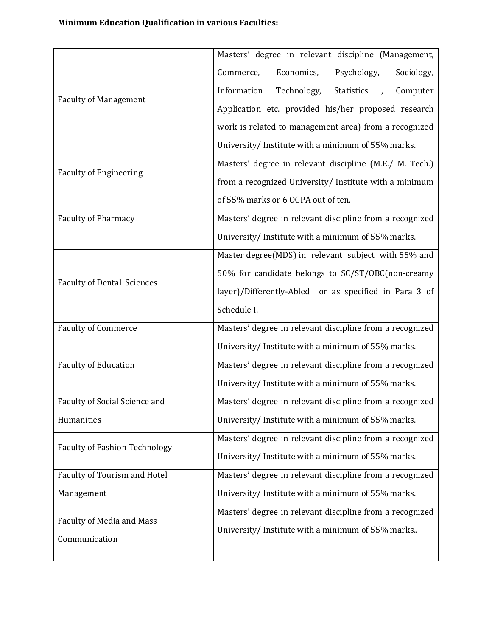| <b>Faculty of Management</b>         | Masters' degree in relevant discipline (Management,                    |
|--------------------------------------|------------------------------------------------------------------------|
|                                      | Economics,<br>Psychology,<br>Sociology,<br>Commerce,                   |
|                                      | Information<br>Technology,<br>Computer<br>Statistics<br>$\overline{1}$ |
|                                      | Application etc. provided his/her proposed research                    |
|                                      | work is related to management area) from a recognized                  |
|                                      | University/Institute with a minimum of 55% marks.                      |
| <b>Faculty of Engineering</b>        | Masters' degree in relevant discipline (M.E./ M. Tech.)                |
|                                      | from a recognized University/ Institute with a minimum                 |
|                                      | of 55% marks or 6 OGPA out of ten.                                     |
| <b>Faculty of Pharmacy</b>           | Masters' degree in relevant discipline from a recognized               |
|                                      | University/Institute with a minimum of 55% marks.                      |
| <b>Faculty of Dental Sciences</b>    | Master degree(MDS) in relevant subject with 55% and                    |
|                                      | 50% for candidate belongs to SC/ST/OBC(non-creamy                      |
|                                      | layer)/Differently-Abled or as specified in Para 3 of                  |
|                                      | Schedule I.                                                            |
| <b>Faculty of Commerce</b>           | Masters' degree in relevant discipline from a recognized               |
|                                      | University/Institute with a minimum of 55% marks.                      |
| <b>Faculty of Education</b>          | Masters' degree in relevant discipline from a recognized               |
|                                      | University/Institute with a minimum of 55% marks.                      |
| Faculty of Social Science and        | Masters' degree in relevant discipline from a recognized               |
| Humanities                           | University/Institute with a minimum of 55% marks.                      |
| <b>Faculty of Fashion Technology</b> | Masters' degree in relevant discipline from a recognized               |
|                                      | University/Institute with a minimum of 55% marks.                      |
| Faculty of Tourism and Hotel         | Masters' degree in relevant discipline from a recognized               |
| Management                           | University/ Institute with a minimum of 55% marks.                     |
| Faculty of Media and Mass            | Masters' degree in relevant discipline from a recognized               |
| Communication                        | University/Institute with a minimum of 55% marks                       |
|                                      |                                                                        |